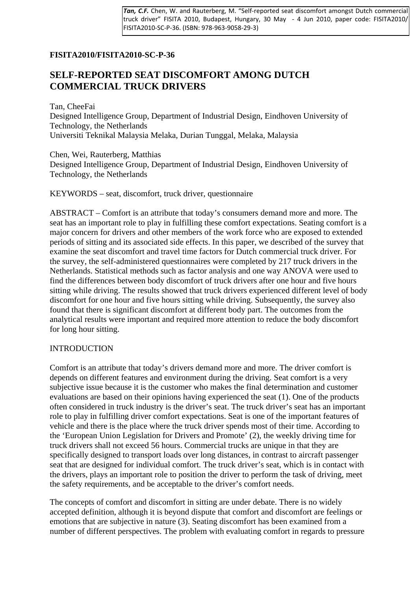*Tan, C.F.* Chen, W. and Rauterberg, M. "Self-reported seat discomfort amongst Dutch commercial truck driver" FISITA 2010, Budapest, Hungary, 30 May - 4 Jun 2010, paper code: FISITA2010/ FISITA2010-SC-P-36. (ISBN: 978-963-9058-29-3)

# **FISITA2010/FISITA2010-SC-P-36**

# **SELF-REPORTED SEAT DISCOMFORT AMONG DUTCH COMMERCIAL TRUCK DRIVERS**

Tan, CheeFai Designed Intelligence Group, Department of Industrial Design, Eindhoven University of Technology, the Netherlands Universiti Teknikal Malaysia Melaka, Durian Tunggal, Melaka, Malaysia

Chen, Wei, Rauterberg, Matthias Designed Intelligence Group, Department of Industrial Design, Eindhoven University of Technology, the Netherlands

KEYWORDS – seat, discomfort, truck driver, questionnaire

ABSTRACT – Comfort is an attribute that today's consumers demand more and more. The seat has an important role to play in fulfilling these comfort expectations. Seating comfort is a major concern for drivers and other members of the work force who are exposed to extended periods of sitting and its associated side effects. In this paper, we described of the survey that examine the seat discomfort and travel time factors for Dutch commercial truck driver. For the survey, the self-administered questionnaires were completed by 217 truck drivers in the Netherlands. Statistical methods such as factor analysis and one way ANOVA were used to find the differences between body discomfort of truck drivers after one hour and five hours sitting while driving. The results showed that truck drivers experienced different level of body discomfort for one hour and five hours sitting while driving. Subsequently, the survey also found that there is significant discomfort at different body part. The outcomes from the analytical results were important and required more attention to reduce the body discomfort for long hour sitting.

#### INTRODUCTION

Comfort is an attribute that today's drivers demand more and more. The driver comfort is depends on different features and environment during the driving. Seat comfort is a very subjective issue because it is the customer who makes the final determination and customer evaluations are based on their opinions having experienced the seat (1). One of the products often considered in truck industry is the driver's seat. The truck driver's seat has an important role to play in fulfilling driver comfort expectations. Seat is one of the important features of vehicle and there is the place where the truck driver spends most of their time. According to the 'European Union Legislation for Drivers and Promote' (2), the weekly driving time for truck drivers shall not exceed 56 hours. Commercial trucks are unique in that they are specifically designed to transport loads over long distances, in contrast to aircraft passenger seat that are designed for individual comfort. The truck driver's seat, which is in contact with the drivers, plays an important role to position the driver to perform the task of driving, meet the safety requirements, and be acceptable to the driver's comfort needs.

The concepts of comfort and discomfort in sitting are under debate. There is no widely accepted definition, although it is beyond dispute that comfort and discomfort are feelings or emotions that are subjective in nature (3). Seating discomfort has been examined from a number of different perspectives. The problem with evaluating comfort in regards to pressure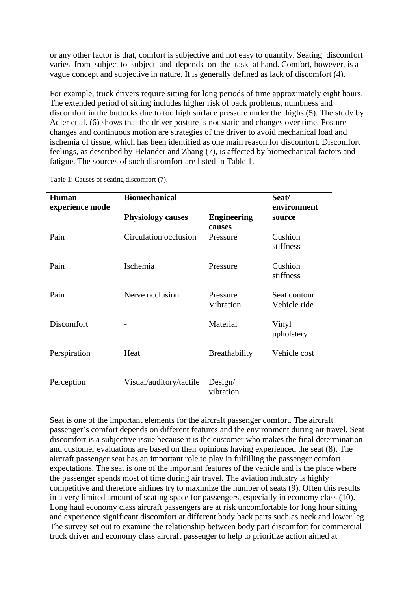or any other factor is that, comfort is subjective and not easy to quantify. Seating discomfort varies from subject to subject and depends on the task at hand. Comfort, however, is a vague concept and subjective in nature. It is generally defined as lack of discomfort (4).

For example, truck drivers require sitting for long periods of time approximately eight hours. The extended period of sitting includes higher risk of back problems, numbness and discomfort in the buttocks due to too high surface pressure under the thighs (5). The study by Adler et al. (6) shows that the driver posture is not static and changes over time. Posture changes and continuous motion are strategies of the driver to avoid mechanical load and ischemia of tissue, which has been identified as one main reason for discomfort. Discomfort feelings, as described by Helander and Zhang (7), is affected by biomechanical factors and fatigue. The sources of such discomfort are listed in Table 1.

| <b>Human</b>    | <b>Biomechanical</b>     |                      | Seat/        |
|-----------------|--------------------------|----------------------|--------------|
| experience mode |                          |                      | environment  |
|                 | <b>Physiology causes</b> | <b>Engineering</b>   | source       |
|                 |                          | causes               |              |
| Pain            | Circulation occlusion    | Pressure             | Cushion      |
|                 |                          |                      | stiffness    |
| Pain            | Ischemia                 | Pressure             | Cushion      |
|                 |                          |                      | stiffness    |
|                 |                          |                      |              |
| Pain            | Nerve occlusion          | Pressure             | Seat contour |
|                 |                          | Vibration            | Vehicle ride |
| Discomfort      |                          | Material             | Vinyl        |
|                 |                          |                      | upholstery   |
|                 |                          |                      |              |
| Perspiration    | Heat                     | <b>Breathability</b> | Vehicle cost |
|                 |                          |                      |              |
| Perception      | Visual/auditory/tactile  | Design/              |              |
|                 |                          | vibration            |              |

Table 1: Causes of seating discomfort (7).

Seat is one of the important elements for the aircraft passenger comfort. The aircraft passenger's comfort depends on different features and the environment during air travel. Seat discomfort is a subjective issue because it is the customer who makes the final determination and customer evaluations are based on their opinions having experienced the seat (8). The aircraft passenger seat has an important role to play in fulfilling the passenger comfort expectations. The seat is one of the important features of the vehicle and is the place where the passenger spends most of time during air travel. The aviation industry is highly competitive and therefore airlines try to maximize the number of seats (9). Often this results in a very limited amount of seating space for passengers, especially in economy class (10). Long haul economy class aircraft passengers are at risk uncomfortable for long hour sitting and experience significant discomfort at different body back parts such as neck and lower leg. The survey set out to examine the relationship between body part discomfort for commercial truck driver and economy class aircraft passenger to help to prioritize action aimed at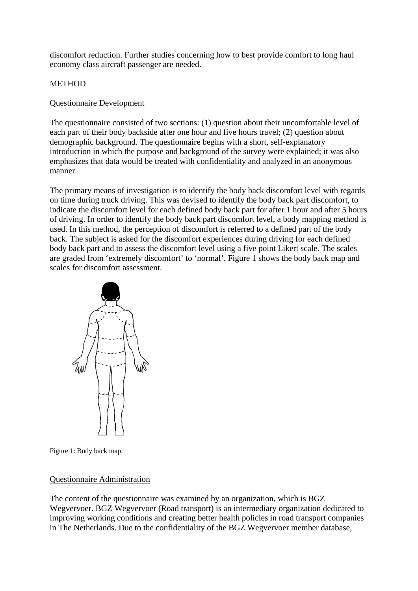discomfort reduction. Further studies concerning how to best provide comfort to long haul economy class aircraft passenger are needed.

# **METHOD**

## Questionnaire Development

The questionnaire consisted of two sections: (1) question about their uncomfortable level of each part of their body backside after one hour and five hours travel; (2) question about demographic background. The questionnaire begins with a short, self-explanatory introduction in which the purpose and background of the survey were explained; it was also emphasizes that data would be treated with confidentiality and analyzed in an anonymous manner.

The primary means of investigation is to identify the body back discomfort level with regards on time during truck driving. This was devised to identify the body back part discomfort, to indicate the discomfort level for each defined body back part for after 1 hour and after 5 hours of driving. In order to identify the body back part discomfort level, a body mapping method is used. In this method, the perception of discomfort is referred to a defined part of the body back. The subject is asked for the discomfort experiences during driving for each defined body back part and to assess the discomfort level using a five point Likert scale. The scales are graded from 'extremely discomfort' to 'normal'. Figure 1 shows the body back map and scales for discomfort assessment.



Figure 1: Body back map.

#### Questionnaire Administration

The content of the questionnaire was examined by an organization, which is BGZ Wegvervoer. BGZ Wegvervoer (Road transport) is an intermediary organization dedicated to improving working conditions and creating better health policies in road transport companies in The Netherlands. Due to the confidentiality of the BGZ Wegvervoer member database,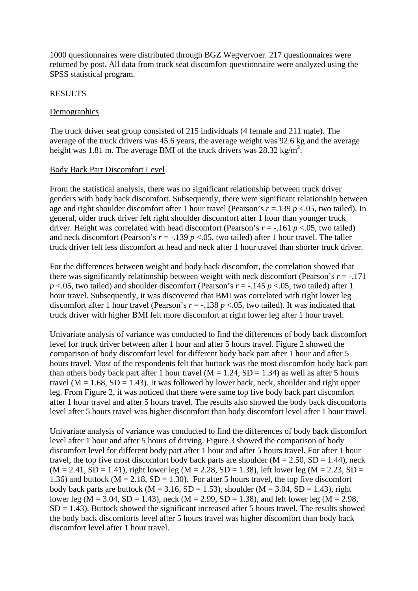1000 questionnaires were distributed through BGZ Wegvervoer. 217 questionnaires were returned by post. All data from truck seat discomfort questionnaire were analyzed using the SPSS statistical program.

#### RESULTS

## Demographics

The truck driver seat group consisted of 215 individuals (4 female and 211 male). The average of the truck drivers was 45.6 years, the average weight was 92.6 kg and the average height was 1.81 m. The average BMI of the truck drivers was  $28.32 \text{ kg/m}^2$ .

## Body Back Part Discomfort Level

From the statistical analysis, there was no significant relationship between truck driver genders with body back discomfort. Subsequently, there were significant relationship between age and right shoulder discomfort after 1 hour travel (Pearson's *r* =.139 *p* <.05, two tailed). In general, older truck driver felt right shoulder discomfort after 1 hour than younger truck driver. Height was correlated with head discomfort (Pearson's  $r = -161$   $p < 0.05$ , two tailed) and neck discomfort (Pearson's  $r = -0.139$   $p < 0.05$ , two tailed) after 1 hour travel. The taller truck driver felt less discomfort at head and neck after 1 hour travel than shorter truck driver.

For the differences between weight and body back discomfort, the correlation showed that there was significantly relationship between weight with neck discomfort (Pearson's  $r = -0.171$ )  $p < .05$ , two tailed) and shoulder discomfort (Pearson's  $r = -.145$   $p < .05$ , two tailed) after 1 hour travel. Subsequently, it was discovered that BMI was correlated with right lower leg discomfort after 1 hour travel (Pearson's  $r = -.138$   $p < .05$ , two tailed). It was indicated that truck driver with higher BMI felt more discomfort at right lower leg after 1 hour travel.

Univariate analysis of variance was conducted to find the differences of body back discomfort level for truck driver between after 1 hour and after 5 hours travel. Figure 2 showed the comparison of body discomfort level for different body back part after 1 hour and after 5 hours travel. Most of the respondents felt that buttock was the most discomfort body back part than others body back part after 1 hour travel ( $M = 1.24$ ,  $SD = 1.34$ ) as well as after 5 hours travel ( $M = 1.68$ ,  $SD = 1.43$ ). It was followed by lower back, neck, shoulder and right upper leg. From Figure 2, it was noticed that there were same top five body back part discomfort after 1 hour travel and after 5 hours travel. The results also showed the body back discomforts level after 5 hours travel was higher discomfort than body discomfort level after 1 hour travel.

Univariate analysis of variance was conducted to find the differences of body back discomfort level after 1 hour and after 5 hours of driving. Figure 3 showed the comparison of body discomfort level for different body part after 1 hour and after 5 hours travel. For after 1 hour travel, the top five most discomfort body back parts are shoulder  $(M = 2.50, SD = 1.44)$ , neck  $(M = 2.41, SD = 1.41)$ , right lower leg  $(M = 2.28, SD = 1.38)$ , left lower leg  $(M = 2.23, SD = 1.41)$ 1.36) and buttock ( $M = 2.18$ ,  $SD = 1.30$ ). For after 5 hours travel, the top five discomfort body back parts are buttock ( $M = 3.16$ ,  $SD = 1.53$ ), shoulder ( $M = 3.04$ ,  $SD = 1.43$ ), right lower leg ( $M = 3.04$ ,  $SD = 1.43$ ), neck ( $M = 2.99$ ,  $SD = 1.38$ ), and left lower leg ( $M = 2.98$ ,  $SD = 1.43$ ). Buttock showed the significant increased after 5 hours travel. The results showed the body back discomforts level after 5 hours travel was higher discomfort than body back discomfort level after 1 hour travel.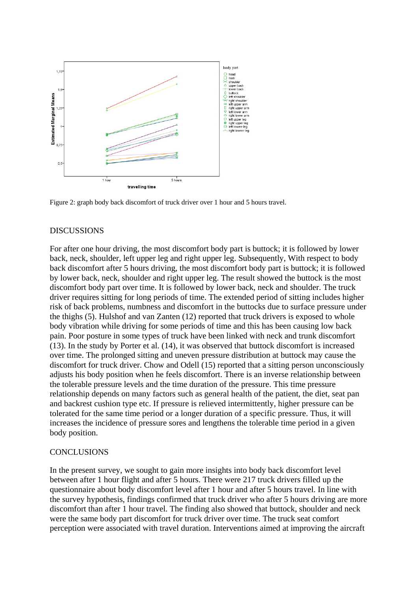

Figure 2: graph body back discomfort of truck driver over 1 hour and 5 hours travel.

#### DISCUSSIONS

For after one hour driving, the most discomfort body part is buttock; it is followed by lower back, neck, shoulder, left upper leg and right upper leg. Subsequently, With respect to body back discomfort after 5 hours driving, the most discomfort body part is buttock; it is followed by lower back, neck, shoulder and right upper leg. The result showed the buttock is the most discomfort body part over time. It is followed by lower back, neck and shoulder. The truck driver requires sitting for long periods of time. The extended period of sitting includes higher risk of back problems, numbness and discomfort in the buttocks due to surface pressure under the thighs (5). Hulshof and van Zanten (12) reported that truck drivers is exposed to whole body vibration while driving for some periods of time and this has been causing low back pain. Poor posture in some types of truck have been linked with neck and trunk discomfort (13). In the study by Porter et al. (14), it was observed that buttock discomfort is increased over time. The prolonged sitting and uneven pressure distribution at buttock may cause the discomfort for truck driver. Chow and Odell (15) reported that a sitting person unconsciously adjusts his body position when he feels discomfort. There is an inverse relationship between the tolerable pressure levels and the time duration of the pressure. This time pressure relationship depends on many factors such as general health of the patient, the diet, seat pan and backrest cushion type etc. If pressure is relieved intermittently, higher pressure can be tolerated for the same time period or a longer duration of a specific pressure. Thus, it will increases the incidence of pressure sores and lengthens the tolerable time period in a given body position.

#### **CONCLUSIONS**

In the present survey, we sought to gain more insights into body back discomfort level between after 1 hour flight and after 5 hours. There were 217 truck drivers filled up the questionnaire about body discomfort level after 1 hour and after 5 hours travel. In line with the survey hypothesis, findings confirmed that truck driver who after 5 hours driving are more discomfort than after 1 hour travel. The finding also showed that buttock, shoulder and neck were the same body part discomfort for truck driver over time. The truck seat comfort perception were associated with travel duration. Interventions aimed at improving the aircraft